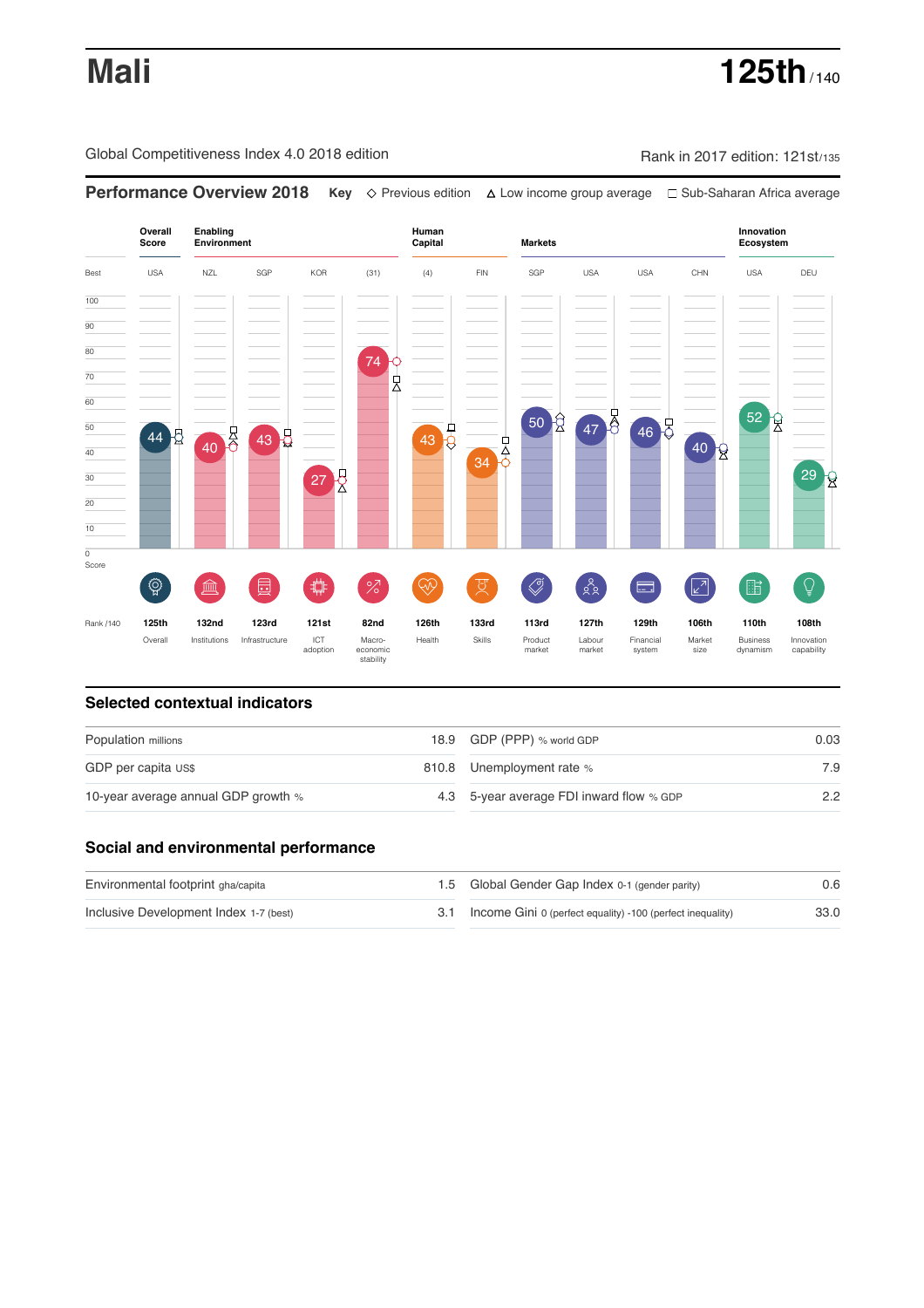# **Mali 125th** / 140

Global Competitiveness Index 4.0 2018 edition Rank in 2017 edition: 121st/135



### **Selected contextual indicators**

| Population millions                 | 18.9 GDP (PPP) % world GDP               | 0.03 |  |
|-------------------------------------|------------------------------------------|------|--|
| GDP per capita US\$                 | 810.8 Unemployment rate %                | 7.9  |  |
| 10-year average annual GDP growth % | 4.3 5-year average FDI inward flow % GDP | 2.2  |  |

### **Social and environmental performance**

| Environmental footprint gha/capita     | 1.5 Global Gender Gap Index 0-1 (gender parity)                | 0.6  |
|----------------------------------------|----------------------------------------------------------------|------|
| Inclusive Development Index 1-7 (best) | 3.1 Income Gini 0 (perfect equality) -100 (perfect inequality) | 33.0 |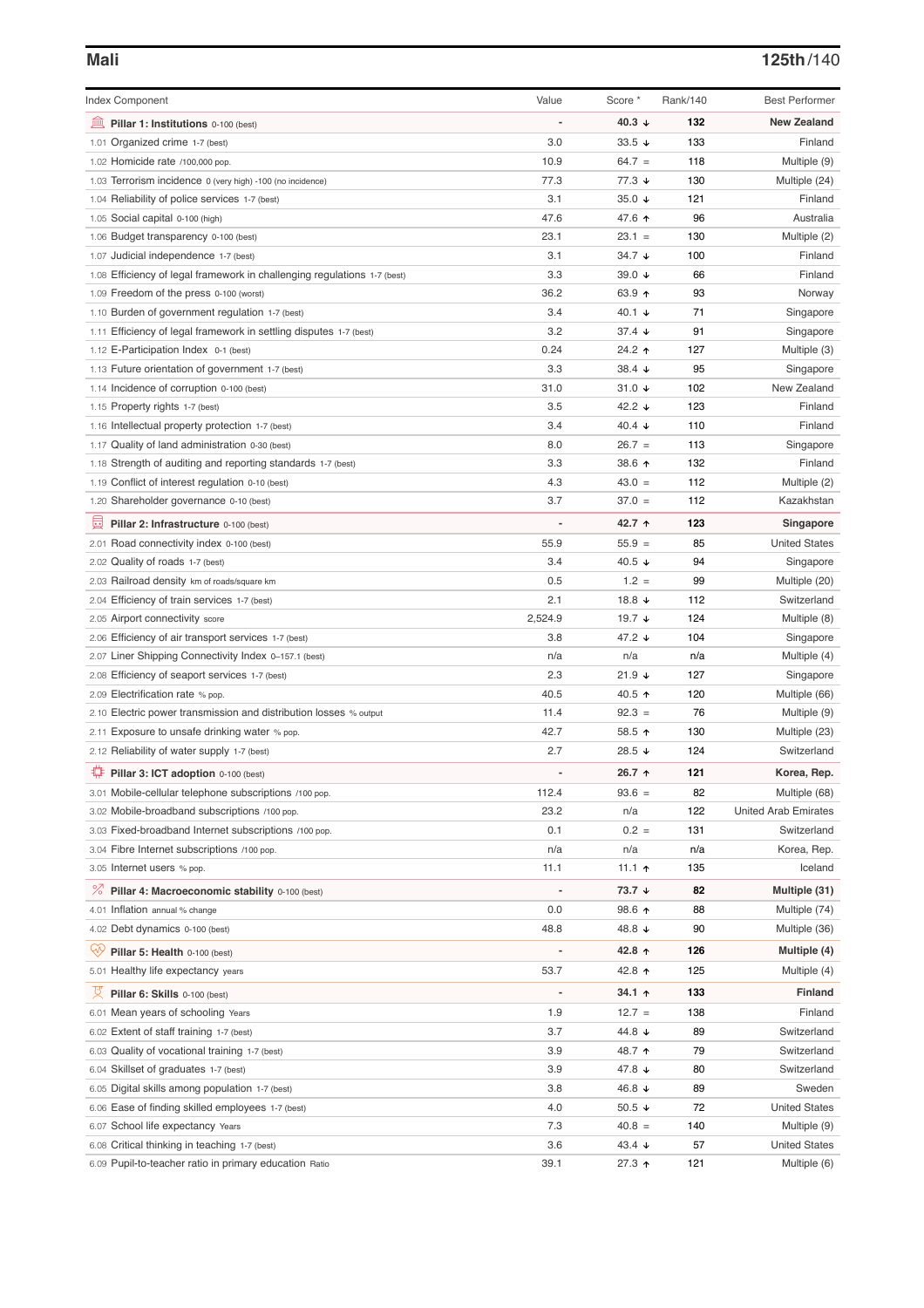# **Mali 125th**/140

| <b>Index Component</b>                                                   | Value                    | Score *              | Rank/140 | <b>Best Performer</b>       |
|--------------------------------------------------------------------------|--------------------------|----------------------|----------|-----------------------------|
| 寙<br>Pillar 1: Institutions 0-100 (best)                                 |                          | 40.3 $\downarrow$    | 132      | <b>New Zealand</b>          |
| 1.01 Organized crime 1-7 (best)                                          | 3.0                      | $33.5 +$             | 133      | Finland                     |
| 1.02 Homicide rate /100,000 pop.                                         | 10.9                     | $64.7 =$             | 118      | Multiple (9)                |
| 1.03 Terrorism incidence 0 (very high) -100 (no incidence)               | 77.3                     | $77.3 \; \downarrow$ | 130      | Multiple (24)               |
| 1.04 Reliability of police services 1-7 (best)                           | 3.1                      | 35.0 $\sqrt{ }$      | 121      | Finland                     |
| 1.05 Social capital 0-100 (high)                                         | 47.6                     | 47.6 ↑               | 96       | Australia                   |
| 1.06 Budget transparency 0-100 (best)                                    | 23.1                     | $23.1 =$             | 130      | Multiple (2)                |
| 1.07 Judicial independence 1-7 (best)                                    | 3.1                      | 34.7 ↓               | 100      | Finland                     |
| 1.08 Efficiency of legal framework in challenging regulations 1-7 (best) | 3.3                      | 39.0 ↓               | 66       | Finland                     |
| 1.09 Freedom of the press 0-100 (worst)                                  | 36.2                     | 63.9 个               | 93       | Norway                      |
| 1.10 Burden of government regulation 1-7 (best)                          | 3.4                      | 40.1 ↓               | 71       | Singapore                   |
| 1.11 Efficiency of legal framework in settling disputes 1-7 (best)       | 3.2                      | 37.4 ↓               | 91       | Singapore                   |
| 1.12 E-Participation Index 0-1 (best)                                    | 0.24                     | 24.2 1               | 127      | Multiple (3)                |
| 1.13 Future orientation of government 1-7 (best)                         | 3.3                      | 38.4 $\sqrt{ }$      | 95       | Singapore                   |
| 1.14 Incidence of corruption 0-100 (best)                                | 31.0                     | 31.0 $\sqrt{ }$      | 102      | New Zealand                 |
| 1.15 Property rights 1-7 (best)                                          | 3.5                      | 42.2 ↓               | 123      | Finland                     |
| 1.16 Intellectual property protection 1-7 (best)                         | 3.4                      | 40.4 $\sqrt{ }$      | 110      | Finland                     |
| 1.17 Quality of land administration 0-30 (best)                          | 8.0                      | $26.7 =$             | 113      | Singapore                   |
| 1.18 Strength of auditing and reporting standards 1-7 (best)             | 3.3                      | 38.6 个               | 132      | Finland                     |
| 1.19 Conflict of interest regulation 0-10 (best)                         | 4.3                      | $43.0 =$             | 112      | Multiple (2)                |
| 1.20 Shareholder governance 0-10 (best)                                  | 3.7                      | $37.0 =$             | 112      | Kazakhstan                  |
| 圓<br>Pillar 2: Infrastructure 0-100 (best)                               |                          | 42.7 ↑               | 123      | Singapore                   |
| 2.01 Road connectivity index 0-100 (best)                                | 55.9                     | $55.9 =$             | 85       | <b>United States</b>        |
| 2.02 Quality of roads 1-7 (best)                                         | 3.4                      | 40.5 ↓               | 94       | Singapore                   |
| 2.03 Railroad density km of roads/square km                              | 0.5                      | $1.2 =$              | 99       | Multiple (20)               |
| 2.04 Efficiency of train services 1-7 (best)                             | 2.1                      | 18.8 $\sqrt{ }$      | 112      | Switzerland                 |
| 2.05 Airport connectivity score                                          | 2,524.9                  | 19.7 $\sqrt{ }$      | 124      | Multiple (8)                |
| 2.06 Efficiency of air transport services 1-7 (best)                     | 3.8                      | 47.2 ↓               | 104      | Singapore                   |
| 2.07 Liner Shipping Connectivity Index 0-157.1 (best)                    | n/a                      | n/a                  | n/a      | Multiple (4)                |
| 2.08 Efficiency of seaport services 1-7 (best)                           | 2.3                      | 21.9 ↓               | 127      | Singapore                   |
| 2.09 Electrification rate % pop.                                         | 40.5                     | 40.5 ↑               | 120      | Multiple (66)               |
| 2.10 Electric power transmission and distribution losses % output        | 11.4                     | $92.3 =$             | 76       | Multiple (9)                |
| 2.11 Exposure to unsafe drinking water % pop.                            | 42.7                     | 58.5 ↑               | 130      | Multiple (23)               |
| 2.12 Reliability of water supply 1-7 (best)                              | 2.7                      | 28.5 ↓               | 124      | Switzerland                 |
| ₽<br>Pillar 3: ICT adoption 0-100 (best)                                 |                          | 26.7 ↑               | 121      | Korea, Rep.                 |
| 3.01 Mobile-cellular telephone subscriptions /100 pop.                   | 112.4                    | $93.6 =$             | 82       | Multiple (68)               |
| 3.02 Mobile-broadband subscriptions /100 pop.                            | 23.2                     | n/a                  | 122      | <b>United Arab Emirates</b> |
| 3.03 Fixed-broadband Internet subscriptions /100 pop.                    | 0.1                      | $0.2 =$              | 131      | Switzerland                 |
| 3.04 Fibre Internet subscriptions /100 pop.                              | n/a                      | n/a                  | n/a      | Korea, Rep.                 |
| 3.05 Internet users % pop.                                               | 11.1                     | 11.1 $\uparrow$      | 135      | Iceland                     |
| ℅<br>Pillar 4: Macroeconomic stability 0-100 (best)                      | $\overline{\phantom{a}}$ | 73.7 ↓               | 82       | Multiple (31)               |
| 4.01 Inflation annual % change                                           | 0.0                      | 98.6 ↑               | 88       | Multiple (74)               |
| 4.02 Debt dynamics 0-100 (best)                                          | 48.8                     | 48.8 ↓               | 90       | Multiple (36)               |
| Qiy<br>Pillar 5: Health 0-100 (best)                                     |                          | 42.8 ↑               | 126      | Multiple (4)                |
| 5.01 Healthy life expectancy years                                       | 53.7                     | 42.8 ↑               | 125      | Multiple (4)                |
| 섯<br>Pillar 6: Skills 0-100 (best)                                       | $\overline{\phantom{m}}$ | 34.1 ↑               | 133      | <b>Finland</b>              |
| 6.01 Mean years of schooling Years                                       | 1.9                      | $12.7 =$             | 138      | Finland                     |
| 6.02 Extent of staff training 1-7 (best)                                 | 3.7                      | 44.8 ↓               | 89       | Switzerland                 |
| 6.03 Quality of vocational training 1-7 (best)                           | 3.9                      | 48.7 ተ               | 79       | Switzerland                 |
| 6.04 Skillset of graduates 1-7 (best)                                    | 3.9                      | 47.8 ↓               | 80       | Switzerland                 |
| 6.05 Digital skills among population 1-7 (best)                          | 3.8                      | 46.8 ↓               | 89       | Sweden                      |
| 6.06 Ease of finding skilled employees 1-7 (best)                        | 4.0                      | 50.5 $\sqrt{ }$      | 72       | <b>United States</b>        |
| 6.07 School life expectancy Years                                        | 7.3                      | $40.8 =$             | 140      | Multiple (9)                |
| 6.08 Critical thinking in teaching 1-7 (best)                            | 3.6                      | 43.4 ↓               | 57       | <b>United States</b>        |
| 6.09 Pupil-to-teacher ratio in primary education Ratio                   | 39.1                     | 27.3 ↑               | 121      | Multiple (6)                |